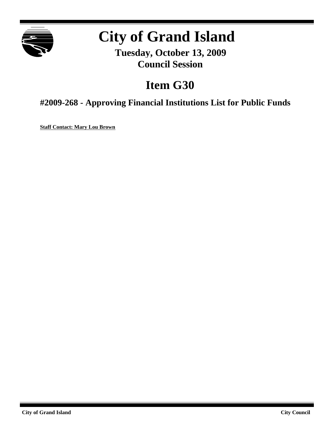

# **City of Grand Island**

**Tuesday, October 13, 2009 Council Session**

# **Item G30**

**#2009-268 - Approving Financial Institutions List for Public Funds**

**Staff Contact: Mary Lou Brown**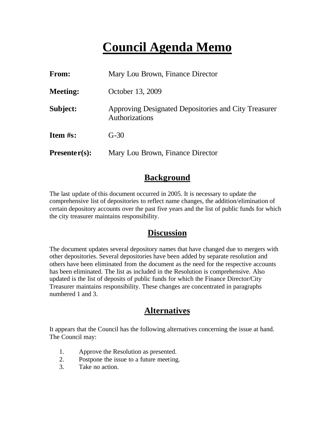# **Council Agenda Memo**

| <b>From:</b>    | Mary Lou Brown, Finance Director                                       |
|-----------------|------------------------------------------------------------------------|
| <b>Meeting:</b> | October 13, 2009                                                       |
| Subject:        | Approving Designated Depositories and City Treasurer<br>Authorizations |
| <b>Item #s:</b> | $G-30$                                                                 |
| $Presenter(s):$ | Mary Lou Brown, Finance Director                                       |

#### **Background**

The last update of this document occurred in 2005. It is necessary to update the comprehensive list of depositories to reflect name changes, the addition/elimination of certain depository accounts over the past five years and the list of public funds for which the city treasurer maintains responsibility.

#### **Discussion**

The document updates several depository names that have changed due to mergers with other depositories. Several depositories have been added by separate resolution and others have been eliminated from the document as the need for the respective accounts has been eliminated. The list as included in the Resolution is comprehensive. Also updated is the list of deposits of public funds for which the Finance Director/City Treasurer maintains responsibility. These changes are concentrated in paragraphs numbered 1 and 3.

### **Alternatives**

It appears that the Council has the following alternatives concerning the issue at hand. The Council may:

- 1. Approve the Resolution as presented.
- 2. Postpone the issue to a future meeting.
- 3. Take no action.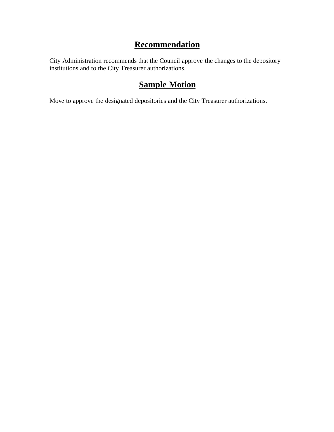### **Recommendation**

City Administration recommends that the Council approve the changes to the depository institutions and to the City Treasurer authorizations.

## **Sample Motion**

Move to approve the designated depositories and the City Treasurer authorizations.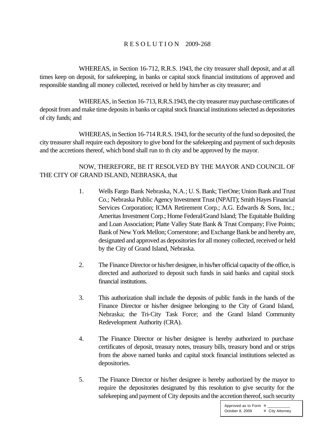#### R E S O L U T I O N 2009-268

WHEREAS, in Section 16-712, R.R.S. 1943, the city treasurer shall deposit, and at all times keep on deposit, for safekeeping, in banks or capital stock financial institutions of approved and responsible standing all money collected, received or held by him/her as city treasurer; and

WHEREAS, in Section 16-713, R.R.S.1943, the city treasurer may purchase certificates of deposit from and make time deposits in banks or capital stock financial institutions selected as depositories of city funds; and

WHEREAS, in Section 16-714 R.R.S. 1943, for the security of the fund so deposited, the city treasurer shall require each depository to give bond for the safekeeping and payment of such deposits and the accretions thereof, which bond shall run to th city and be approved by the mayor.

NOW, THEREFORE, BE IT RESOLVED BY THE MAYOR AND COUNCIL OF THE CITY OF GRAND ISLAND, NEBRASKA, that

- 1. Wells Fargo Bank Nebraska, N.A.; U. S. Bank; TierOne; Union Bank and Trust Co.; Nebraska Public Agency Investment Trust (NPAIT); Smith Hayes Financial Services Corporation; ICMA Retirement Corp.; A.G. Edwards & Sons, Inc.; Ameritas Investment Corp.; Home Federal/Grand Island; The Equitable Building and Loan Association; Platte Valley State Bank & Trust Company; Five Points; Bank of New York Mellon; Cornerstone; and Exchange Bank be and hereby are, designated and approved as depositories for all money collected, received or held by the City of Grand Island, Nebraska.
- 2. The Finance Director or his/her designee, in his/her official capacity of the office, is directed and authorized to deposit such funds in said banks and capital stock financial institutions.
- 3. This authorization shall include the deposits of public funds in the hands of the Finance Director or his/her designee belonging to the City of Grand Island, Nebraska; the Tri-City Task Force; and the Grand Island Community Redevelopment Authority (CRA).
- 4. The Finance Director or his/her designee is hereby authorized to purchase certificates of deposit, treasury notes, treasury bills, treasury bond and or strips from the above named banks and capital stock financial institutions selected as depositories.
- 5. The Finance Director or his/her designee is hereby authorized by the mayor to require the depositories designated by this resolution to give security for the safekeeping and payment of City deposits and the accretion thereof, such security

Approved as to Form  $\overline{a}$ October 8, 2009 ¤ City Attorney